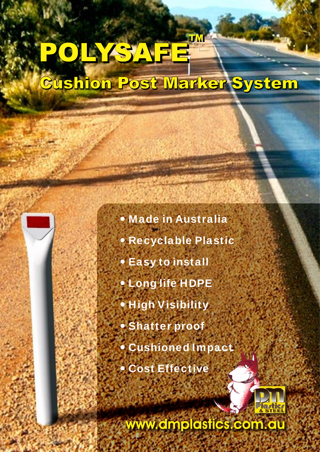## POLYSAFE **Cushion Post Marker System**

 **Made in Australia Recyclable Plastic Easy to install Long life HDPE High Visibility Shatter proof Cushioned Impact Cost Effective**



**www.dmplastics.com.au**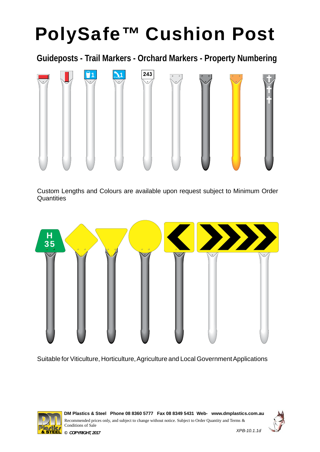### **PolySafe™ Cushion Post**

**Guideposts - Trail Markers - Orchard Markers - Property Numbering** 



Custom Lengths and Colours are available upon request subject to Minimum Order **Quantities** 



Suitable for Viticulture, Horticulture, Agriculture and Local Government Applications



Recommended prices only, and subject to change without notice. Subject to Order Quantity and Terms & Conditions of Sale DM Plastics & Steel Phone 08 8360 5777 Fax 08 8349 5431 Web- www.dmplastics.com.au

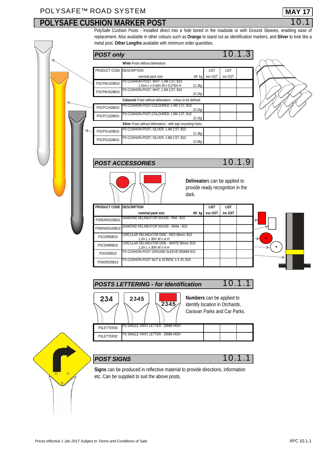### **POLYSAFE CUSHION MARKER POST**

PolySafe Cushion Posts - Installed direct into a hole bored in the roadside or with Ground Sleaves, enabling ease of replacement. Also available in other colours such as **Orange** to stand out as identification markers, and **Silver** to look like a metal post. **Other Lengths** available with minimum order quantities.

|  | <b>POST only</b>         |                                                                   |                    |         |             | 10.1.3 |  |
|--|--------------------------|-------------------------------------------------------------------|--------------------|---------|-------------|--------|--|
|  |                          | White Posts without delineators                                   |                    |         |             |        |  |
|  | PRODUCT CODE DESCRIPTION |                                                                   |                    | ЦSТ     | <b>LIST</b> |        |  |
|  |                          | nominal pack size                                                 | Wt kg              | exc GST | inc GST     |        |  |
|  | PSCPW1428B10             | PSCUSHON-POST; WHT; 1.4M2.5T; B10<br>1.41mLx0.42mWx0.275mH        | 11.3 <sub>kq</sub> |         |             |        |  |
|  | PSCPW1528B10             | PS CUSHION-POST; WHT; 1.5M 2.5T; B10                              | 12.1kg             |         |             |        |  |
|  |                          | <b>Coloured</b> Posts without delineators - colour to be defined. |                    |         |             |        |  |
|  | PSCPC1428B10             | IPS CUSHION POST;COLOURED; 1.4M2.5T; B10                          | 12.1kg             |         |             |        |  |
|  | PSCPC1528B10             | PS CUSHON POST; COLOURED; 1.5M 2.5T; B10                          | 12.1kg             |         |             |        |  |
|  |                          |                                                                   |                    |         |             |        |  |
|  | PSCPS1428B10             | <b>PS CUSHON POST: SILVER: 1.4M2.5T: B10</b>                      | 11.3 <sub>kq</sub> |         |             |        |  |
|  | PSCPS1628B10             | PS CUSHION-POST; SILVER; 1.6M2.5T; B10                            | 12.9kg             |         |             |        |  |



POST ACCESSORIES<sup>10.1.9</sup>





**Delineator**s can be applied to provide ready recognition in the dark.

| PRODUCT CODE DESCRIPTION |                                                             | ЦSТ     | ЦSТ     |  |
|--------------------------|-------------------------------------------------------------|---------|---------|--|
|                          | nominal pack size<br>Wt kg                                  | exc GST | inc GST |  |
| PSRDR50100B10            | DIAMOND DELINEATOR 50X100 - Red - B10                       |         |         |  |
| PSRDW50100B10            | DIAMOND DELINEATOR 50X100 - White - B10                     |         |         |  |
| PSCDR80B10               | CIRCULAR DELINEATOR DISK - RED 80mm; B10<br>1.2mLx30mWxmH   |         |         |  |
| PSCDW80B10               | CIRCULAR DELINEATOR DISK - WHITE 80mm; B10<br>1.2mLx30mWxmH |         |         |  |
| <b>PSGS05B10</b>         | PS CUSHION-POST GROUND SLEEVE:500MM B10                     |         |         |  |
| PSNS0525B10              | PS CUSHION-POST NUT & SCREW, 5 X 25; B10                    |         |         |  |





| <b>POST SIGNS</b> |
|-------------------|
|                   |

*POST SIGNS* 10.1.1

**Signs** can be produced in reflective material to provide directions, information etc. Can be supplied to suit the above posts.